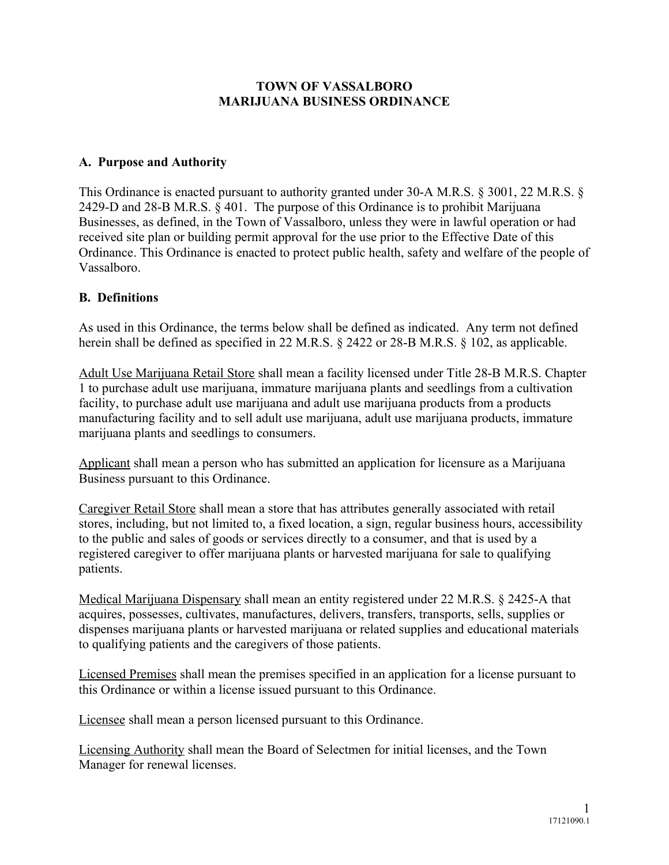#### **TOWN OF VASSALBORO MARIJUANA BUSINESS ORDINANCE**

#### **A. Purpose and Authority**

This Ordinance is enacted pursuant to authority granted under 30-A M.R.S. § 3001, 22 M.R.S. § 2429-D and 28-B M.R.S. § 401. The purpose of this Ordinance is to prohibit Marijuana Businesses, as defined, in the Town of Vassalboro, unless they were in lawful operation or had received site plan or building permit approval for the use prior to the Effective Date of this Ordinance. This Ordinance is enacted to protect public health, safety and welfare of the people of Vassalboro.

## **B. Definitions**

As used in this Ordinance, the terms below shall be defined as indicated. Any term not defined herein shall be defined as specified in 22 M.R.S. § 2422 or 28-B M.R.S. § 102, as applicable.

Adult Use Marijuana Retail Store shall mean a facility licensed under Title 28-B M.R.S. Chapter 1 to purchase adult use marijuana, immature marijuana plants and seedlings from a cultivation facility, to purchase adult use marijuana and adult use marijuana products from a products manufacturing facility and to sell adult use marijuana, adult use marijuana products, immature marijuana plants and seedlings to consumers.

Applicant shall mean a person who has submitted an application for licensure as a Marijuana Business pursuant to this Ordinance.

Caregiver Retail Store shall mean a store that has attributes generally associated with retail stores, including, but not limited to, a fixed location, a sign, regular business hours, accessibility to the public and sales of goods or services directly to a consumer, and that is used by a registered caregiver to offer marijuana plants or harvested marijuana for sale to qualifying patients.

Medical Marijuana Dispensary shall mean an entity registered under 22 M.R.S. § 2425-A that acquires, possesses, cultivates, manufactures, delivers, transfers, transports, sells, supplies or dispenses marijuana plants or harvested marijuana or related supplies and educational materials to qualifying patients and the caregivers of those patients.

Licensed Premises shall mean the premises specified in an application for a license pursuant to this Ordinance or within a license issued pursuant to this Ordinance.

Licensee shall mean a person licensed pursuant to this Ordinance.

Licensing Authority shall mean the Board of Selectmen for initial licenses, and the Town Manager for renewal licenses.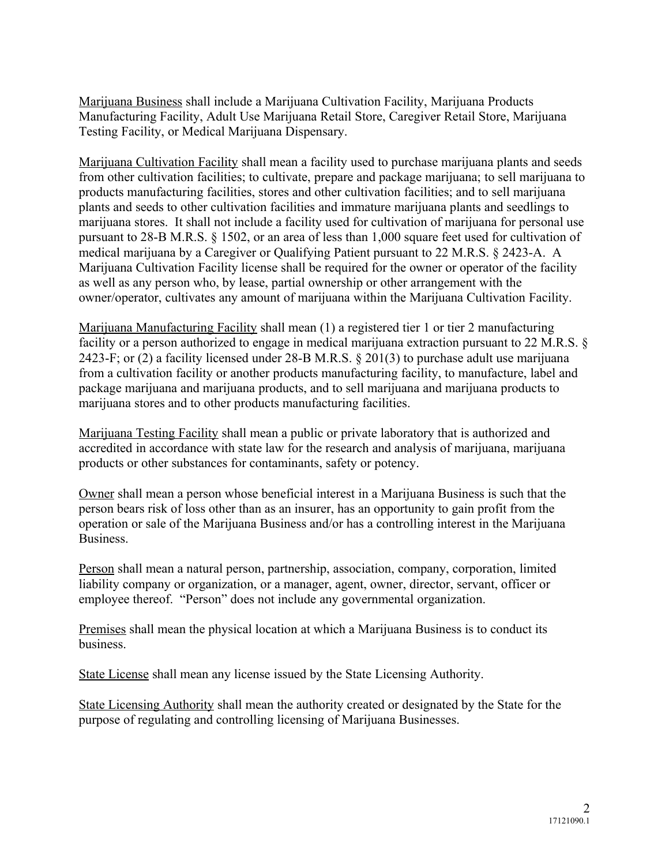Marijuana Business shall include a Marijuana Cultivation Facility, Marijuana Products Manufacturing Facility, Adult Use Marijuana Retail Store, Caregiver Retail Store, Marijuana Testing Facility, or Medical Marijuana Dispensary.

Marijuana Cultivation Facility shall mean a facility used to purchase marijuana plants and seeds from other cultivation facilities; to cultivate, prepare and package marijuana; to sell marijuana to products manufacturing facilities, stores and other cultivation facilities; and to sell marijuana plants and seeds to other cultivation facilities and immature marijuana plants and seedlings to marijuana stores. It shall not include a facility used for cultivation of marijuana for personal use pursuant to 28-B M.R.S. § 1502, or an area of less than 1,000 square feet used for cultivation of medical marijuana by a Caregiver or Qualifying Patient pursuant to 22 M.R.S. § 2423-A. A Marijuana Cultivation Facility license shall be required for the owner or operator of the facility as well as any person who, by lease, partial ownership or other arrangement with the owner/operator, cultivates any amount of marijuana within the Marijuana Cultivation Facility.

Marijuana Manufacturing Facility shall mean (1) a registered tier 1 or tier 2 manufacturing facility or a person authorized to engage in medical marijuana extraction pursuant to 22 M.R.S. § 2423-F; or (2) a facility licensed under 28-B M.R.S. § 201(3) to purchase adult use marijuana from a cultivation facility or another products manufacturing facility, to manufacture, label and package marijuana and marijuana products, and to sell marijuana and marijuana products to marijuana stores and to other products manufacturing facilities.

Marijuana Testing Facility shall mean a public or private laboratory that is authorized and accredited in accordance with state law for the research and analysis of marijuana, marijuana products or other substances for contaminants, safety or potency.

Owner shall mean a person whose beneficial interest in a Marijuana Business is such that the person bears risk of loss other than as an insurer, has an opportunity to gain profit from the operation or sale of the Marijuana Business and/or has a controlling interest in the Marijuana Business.

Person shall mean a natural person, partnership, association, company, corporation, limited liability company or organization, or a manager, agent, owner, director, servant, officer or employee thereof. "Person" does not include any governmental organization.

Premises shall mean the physical location at which a Marijuana Business is to conduct its business.

State License shall mean any license issued by the State Licensing Authority.

State Licensing Authority shall mean the authority created or designated by the State for the purpose of regulating and controlling licensing of Marijuana Businesses.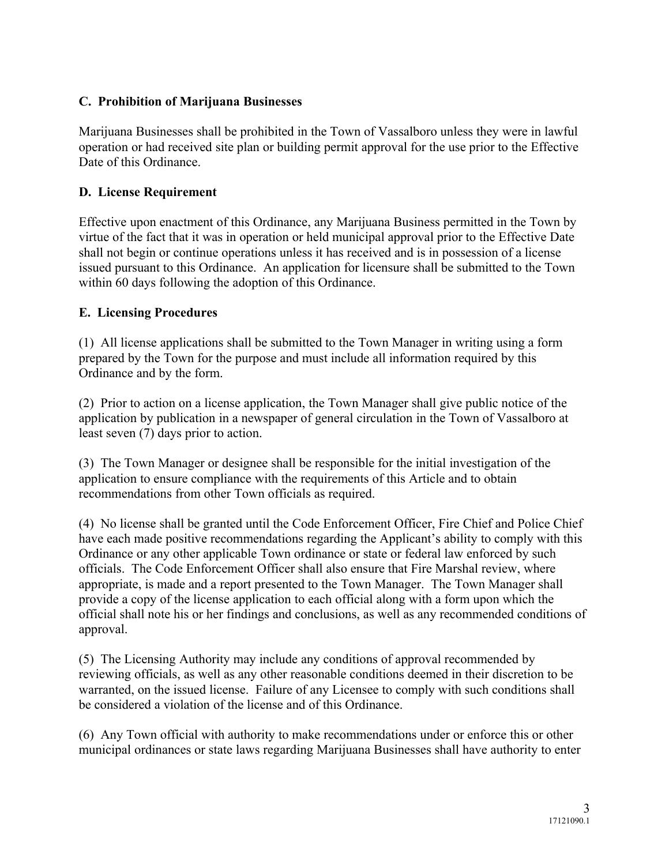## **C. Prohibition of Marijuana Businesses**

Marijuana Businesses shall be prohibited in the Town of Vassalboro unless they were in lawful operation or had received site plan or building permit approval for the use prior to the Effective Date of this Ordinance.

#### **D. License Requirement**

Effective upon enactment of this Ordinance, any Marijuana Business permitted in the Town by virtue of the fact that it was in operation or held municipal approval prior to the Effective Date shall not begin or continue operations unless it has received and is in possession of a license issued pursuant to this Ordinance. An application for licensure shall be submitted to the Town within 60 days following the adoption of this Ordinance.

#### **E. Licensing Procedures**

(1) All license applications shall be submitted to the Town Manager in writing using a form prepared by the Town for the purpose and must include all information required by this Ordinance and by the form.

(2) Prior to action on a license application, the Town Manager shall give public notice of the application by publication in a newspaper of general circulation in the Town of Vassalboro at least seven (7) days prior to action.

(3) The Town Manager or designee shall be responsible for the initial investigation of the application to ensure compliance with the requirements of this Article and to obtain recommendations from other Town officials as required.

(4) No license shall be granted until the Code Enforcement Officer, Fire Chief and Police Chief have each made positive recommendations regarding the Applicant's ability to comply with this Ordinance or any other applicable Town ordinance or state or federal law enforced by such officials. The Code Enforcement Officer shall also ensure that Fire Marshal review, where appropriate, is made and a report presented to the Town Manager. The Town Manager shall provide a copy of the license application to each official along with a form upon which the official shall note his or her findings and conclusions, as well as any recommended conditions of approval.

(5) The Licensing Authority may include any conditions of approval recommended by reviewing officials, as well as any other reasonable conditions deemed in their discretion to be warranted, on the issued license. Failure of any Licensee to comply with such conditions shall be considered a violation of the license and of this Ordinance.

(6) Any Town official with authority to make recommendations under or enforce this or other municipal ordinances or state laws regarding Marijuana Businesses shall have authority to enter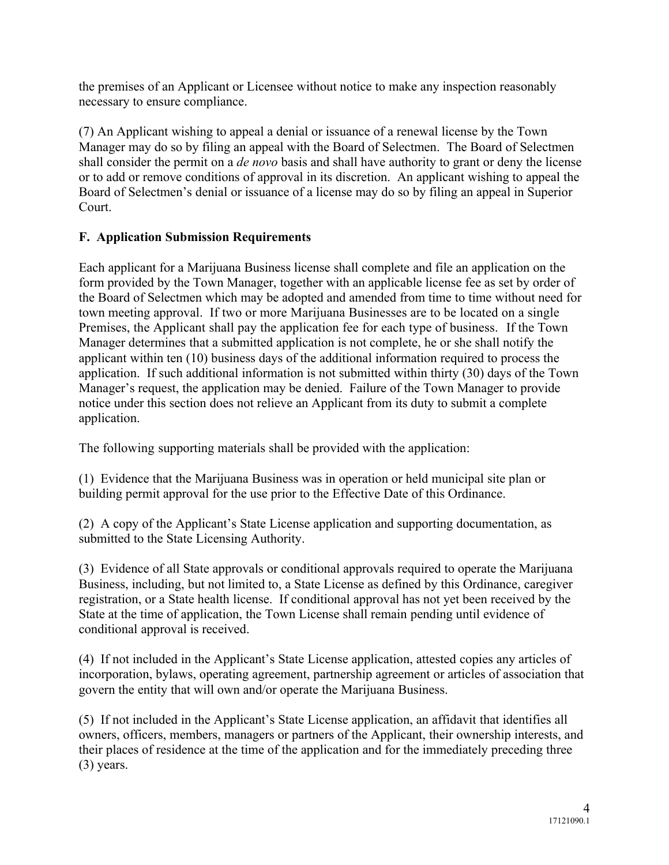the premises of an Applicant or Licensee without notice to make any inspection reasonably necessary to ensure compliance.

(7) An Applicant wishing to appeal a denial or issuance of a renewal license by the Town Manager may do so by filing an appeal with the Board of Selectmen. The Board of Selectmen shall consider the permit on a *de novo* basis and shall have authority to grant or deny the license or to add or remove conditions of approval in its discretion. An applicant wishing to appeal the Board of Selectmen's denial or issuance of a license may do so by filing an appeal in Superior Court.

## **F. Application Submission Requirements**

Each applicant for a Marijuana Business license shall complete and file an application on the form provided by the Town Manager, together with an applicable license fee as set by order of the Board of Selectmen which may be adopted and amended from time to time without need for town meeting approval. If two or more Marijuana Businesses are to be located on a single Premises, the Applicant shall pay the application fee for each type of business. If the Town Manager determines that a submitted application is not complete, he or she shall notify the applicant within ten (10) business days of the additional information required to process the application. If such additional information is not submitted within thirty (30) days of the Town Manager's request, the application may be denied. Failure of the Town Manager to provide notice under this section does not relieve an Applicant from its duty to submit a complete application.

The following supporting materials shall be provided with the application:

(1) Evidence that the Marijuana Business was in operation or held municipal site plan or building permit approval for the use prior to the Effective Date of this Ordinance.

(2) A copy of the Applicant's State License application and supporting documentation, as submitted to the State Licensing Authority.

(3) Evidence of all State approvals or conditional approvals required to operate the Marijuana Business, including, but not limited to, a State License as defined by this Ordinance, caregiver registration, or a State health license. If conditional approval has not yet been received by the State at the time of application, the Town License shall remain pending until evidence of conditional approval is received.

(4) If not included in the Applicant's State License application, attested copies any articles of incorporation, bylaws, operating agreement, partnership agreement or articles of association that govern the entity that will own and/or operate the Marijuana Business.

(5) If not included in the Applicant's State License application, an affidavit that identifies all owners, officers, members, managers or partners of the Applicant, their ownership interests, and their places of residence at the time of the application and for the immediately preceding three (3) years.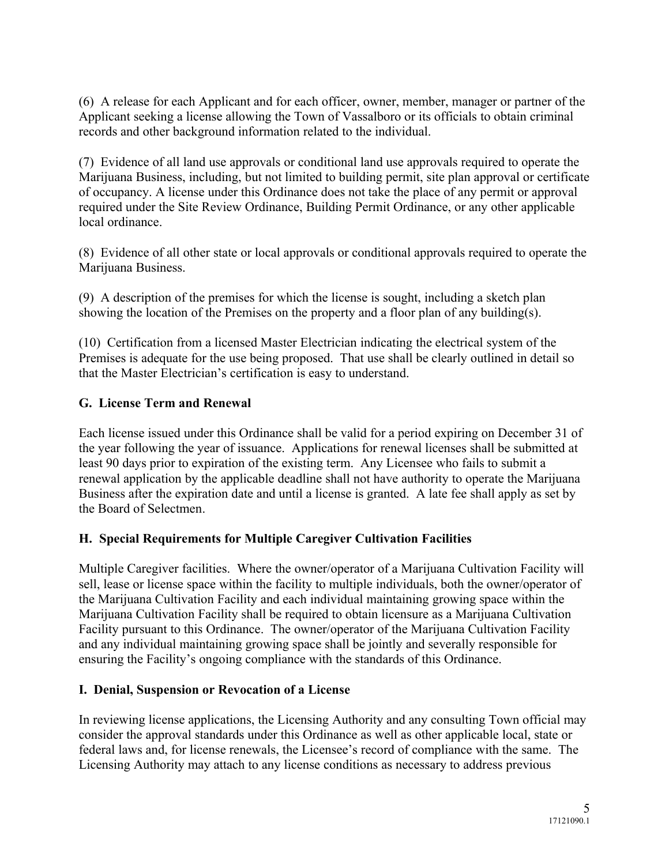(6) A release for each Applicant and for each officer, owner, member, manager or partner of the Applicant seeking a license allowing the Town of Vassalboro or its officials to obtain criminal records and other background information related to the individual.

(7) Evidence of all land use approvals or conditional land use approvals required to operate the Marijuana Business, including, but not limited to building permit, site plan approval or certificate of occupancy. A license under this Ordinance does not take the place of any permit or approval required under the Site Review Ordinance, Building Permit Ordinance, or any other applicable local ordinance.

(8) Evidence of all other state or local approvals or conditional approvals required to operate the Marijuana Business.

(9) A description of the premises for which the license is sought, including a sketch plan showing the location of the Premises on the property and a floor plan of any building(s).

(10) Certification from a licensed Master Electrician indicating the electrical system of the Premises is adequate for the use being proposed. That use shall be clearly outlined in detail so that the Master Electrician's certification is easy to understand.

## **G. License Term and Renewal**

Each license issued under this Ordinance shall be valid for a period expiring on December 31 of the year following the year of issuance. Applications for renewal licenses shall be submitted at least 90 days prior to expiration of the existing term. Any Licensee who fails to submit a renewal application by the applicable deadline shall not have authority to operate the Marijuana Business after the expiration date and until a license is granted. A late fee shall apply as set by the Board of Selectmen.

## **H. Special Requirements for Multiple Caregiver Cultivation Facilities**

Multiple Caregiver facilities. Where the owner/operator of a Marijuana Cultivation Facility will sell, lease or license space within the facility to multiple individuals, both the owner/operator of the Marijuana Cultivation Facility and each individual maintaining growing space within the Marijuana Cultivation Facility shall be required to obtain licensure as a Marijuana Cultivation Facility pursuant to this Ordinance. The owner/operator of the Marijuana Cultivation Facility and any individual maintaining growing space shall be jointly and severally responsible for ensuring the Facility's ongoing compliance with the standards of this Ordinance.

#### **I. Denial, Suspension or Revocation of a License**

In reviewing license applications, the Licensing Authority and any consulting Town official may consider the approval standards under this Ordinance as well as other applicable local, state or federal laws and, for license renewals, the Licensee's record of compliance with the same. The Licensing Authority may attach to any license conditions as necessary to address previous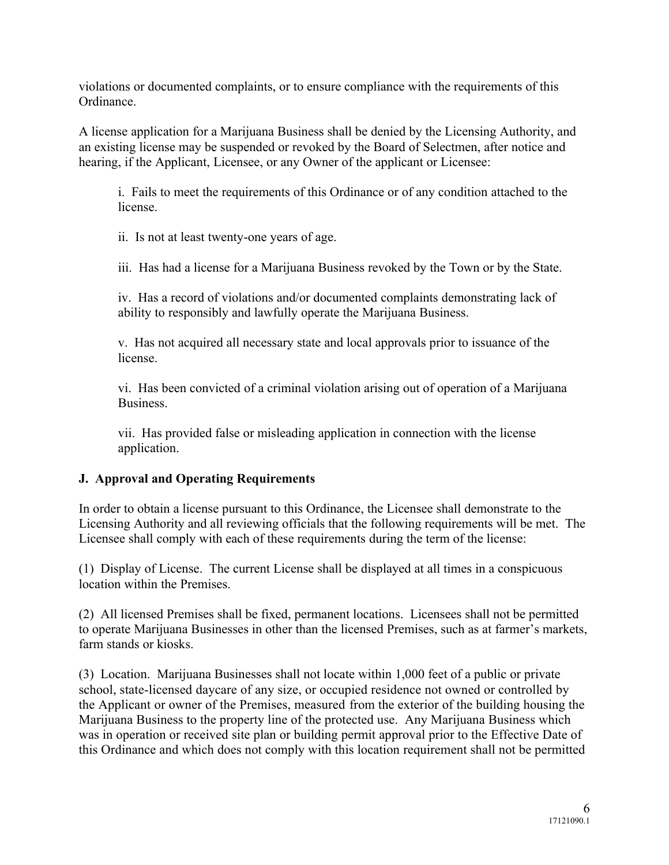violations or documented complaints, or to ensure compliance with the requirements of this Ordinance.

A license application for a Marijuana Business shall be denied by the Licensing Authority, and an existing license may be suspended or revoked by the Board of Selectmen, after notice and hearing, if the Applicant, Licensee, or any Owner of the applicant or Licensee:

i. Fails to meet the requirements of this Ordinance or of any condition attached to the license.

ii. Is not at least twenty-one years of age.

iii. Has had a license for a Marijuana Business revoked by the Town or by the State.

iv. Has a record of violations and/or documented complaints demonstrating lack of ability to responsibly and lawfully operate the Marijuana Business.

v. Has not acquired all necessary state and local approvals prior to issuance of the license.

vi. Has been convicted of a criminal violation arising out of operation of a Marijuana Business.

vii. Has provided false or misleading application in connection with the license application.

#### **J. Approval and Operating Requirements**

In order to obtain a license pursuant to this Ordinance, the Licensee shall demonstrate to the Licensing Authority and all reviewing officials that the following requirements will be met. The Licensee shall comply with each of these requirements during the term of the license:

(1) Display of License. The current License shall be displayed at all times in a conspicuous location within the Premises.

(2) All licensed Premises shall be fixed, permanent locations. Licensees shall not be permitted to operate Marijuana Businesses in other than the licensed Premises, such as at farmer's markets, farm stands or kiosks.

(3) Location. Marijuana Businesses shall not locate within 1,000 feet of a public or private school, state-licensed daycare of any size, or occupied residence not owned or controlled by the Applicant or owner of the Premises, measured from the exterior of the building housing the Marijuana Business to the property line of the protected use. Any Marijuana Business which was in operation or received site plan or building permit approval prior to the Effective Date of this Ordinance and which does not comply with this location requirement shall not be permitted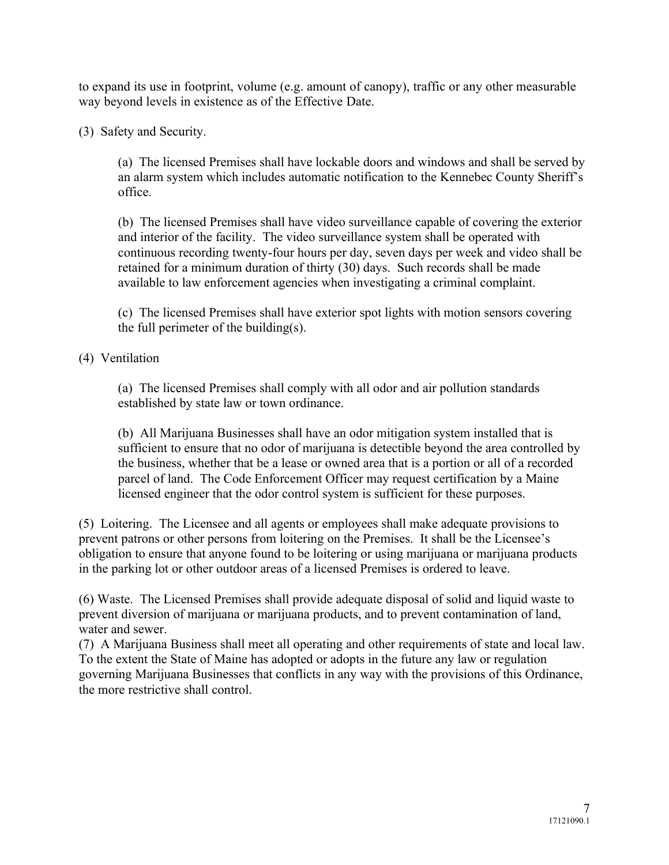to expand its use in footprint, volume (e.g. amount of canopy), traffic or any other measurable way beyond levels in existence as of the Effective Date.

(3) Safety and Security.

(a) The licensed Premises shall have lockable doors and windows and shall be served by an alarm system which includes automatic notification to the Kennebec County Sheriff's office.

(b) The licensed Premises shall have video surveillance capable of covering the exterior and interior of the facility. The video surveillance system shall be operated with continuous recording twenty-four hours per day, seven days per week and video shall be retained for a minimum duration of thirty (30) days. Such records shall be made available to law enforcement agencies when investigating a criminal complaint.

(c) The licensed Premises shall have exterior spot lights with motion sensors covering the full perimeter of the building(s).

(4) Ventilation

(a) The licensed Premises shall comply with all odor and air pollution standards established by state law or town ordinance.

(b) All Marijuana Businesses shall have an odor mitigation system installed that is sufficient to ensure that no odor of marijuana is detectible beyond the area controlled by the business, whether that be a lease or owned area that is a portion or all of a recorded parcel of land. The Code Enforcement Officer may request certification by a Maine licensed engineer that the odor control system is sufficient for these purposes.

(5) Loitering. The Licensee and all agents or employees shall make adequate provisions to prevent patrons or other persons from loitering on the Premises. It shall be the Licensee's obligation to ensure that anyone found to be loitering or using marijuana or marijuana products in the parking lot or other outdoor areas of a licensed Premises is ordered to leave.

(6) Waste. The Licensed Premises shall provide adequate disposal of solid and liquid waste to prevent diversion of marijuana or marijuana products, and to prevent contamination of land, water and sewer.

(7) A Marijuana Business shall meet all operating and other requirements of state and local law. To the extent the State of Maine has adopted or adopts in the future any law or regulation governing Marijuana Businesses that conflicts in any way with the provisions of this Ordinance, the more restrictive shall control.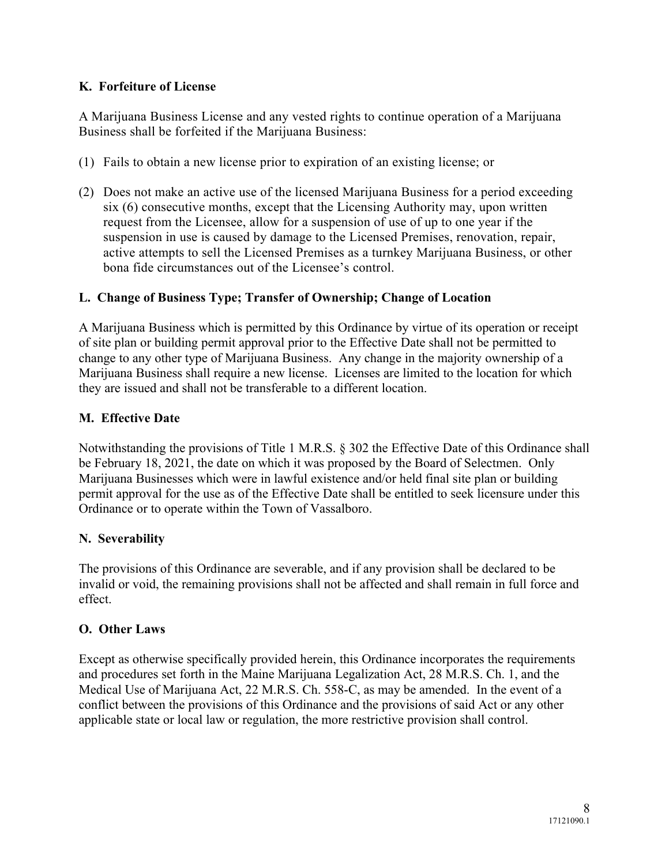## **K. Forfeiture of License**

A Marijuana Business License and any vested rights to continue operation of a Marijuana Business shall be forfeited if the Marijuana Business:

- (1) Fails to obtain a new license prior to expiration of an existing license; or
- (2) Does not make an active use of the licensed Marijuana Business for a period exceeding six (6) consecutive months, except that the Licensing Authority may, upon written request from the Licensee, allow for a suspension of use of up to one year if the suspension in use is caused by damage to the Licensed Premises, renovation, repair, active attempts to sell the Licensed Premises as a turnkey Marijuana Business, or other bona fide circumstances out of the Licensee's control.

## **L. Change of Business Type; Transfer of Ownership; Change of Location**

A Marijuana Business which is permitted by this Ordinance by virtue of its operation or receipt of site plan or building permit approval prior to the Effective Date shall not be permitted to change to any other type of Marijuana Business. Any change in the majority ownership of a Marijuana Business shall require a new license. Licenses are limited to the location for which they are issued and shall not be transferable to a different location.

## **M. Effective Date**

Notwithstanding the provisions of Title 1 M.R.S. § 302 the Effective Date of this Ordinance shall be February 18, 2021, the date on which it was proposed by the Board of Selectmen. Only Marijuana Businesses which were in lawful existence and/or held final site plan or building permit approval for the use as of the Effective Date shall be entitled to seek licensure under this Ordinance or to operate within the Town of Vassalboro.

#### **N. Severability**

The provisions of this Ordinance are severable, and if any provision shall be declared to be invalid or void, the remaining provisions shall not be affected and shall remain in full force and effect.

#### **O. Other Laws**

Except as otherwise specifically provided herein, this Ordinance incorporates the requirements and procedures set forth in the Maine Marijuana Legalization Act, 28 M.R.S. Ch. 1, and the Medical Use of Marijuana Act, 22 M.R.S. Ch. 558-C, as may be amended. In the event of a conflict between the provisions of this Ordinance and the provisions of said Act or any other applicable state or local law or regulation, the more restrictive provision shall control.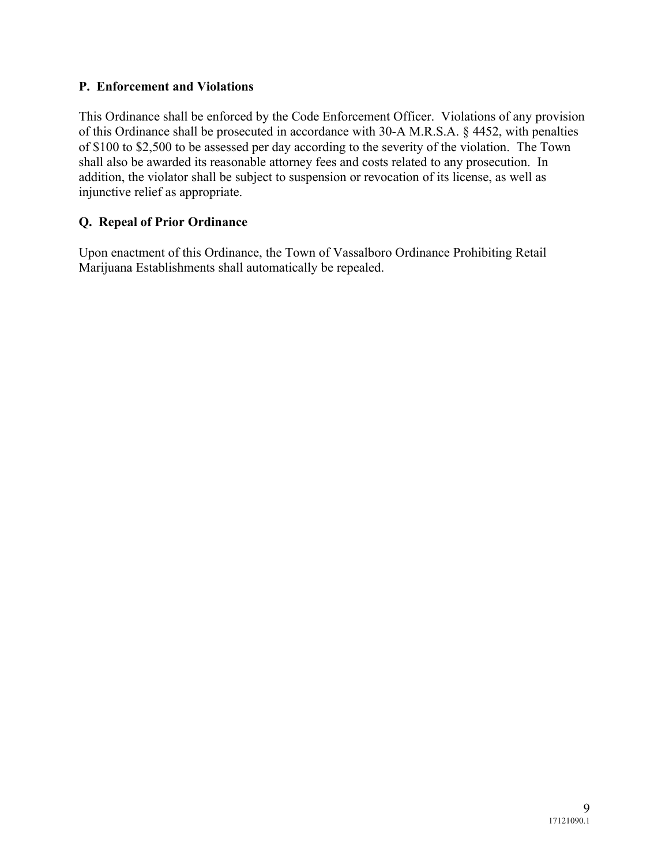## **P. Enforcement and Violations**

This Ordinance shall be enforced by the Code Enforcement Officer. Violations of any provision of this Ordinance shall be prosecuted in accordance with 30-A M.R.S.A. § 4452, with penalties of \$100 to \$2,500 to be assessed per day according to the severity of the violation. The Town shall also be awarded its reasonable attorney fees and costs related to any prosecution. In addition, the violator shall be subject to suspension or revocation of its license, as well as injunctive relief as appropriate.

## **Q. Repeal of Prior Ordinance**

Upon enactment of this Ordinance, the Town of Vassalboro Ordinance Prohibiting Retail Marijuana Establishments shall automatically be repealed.